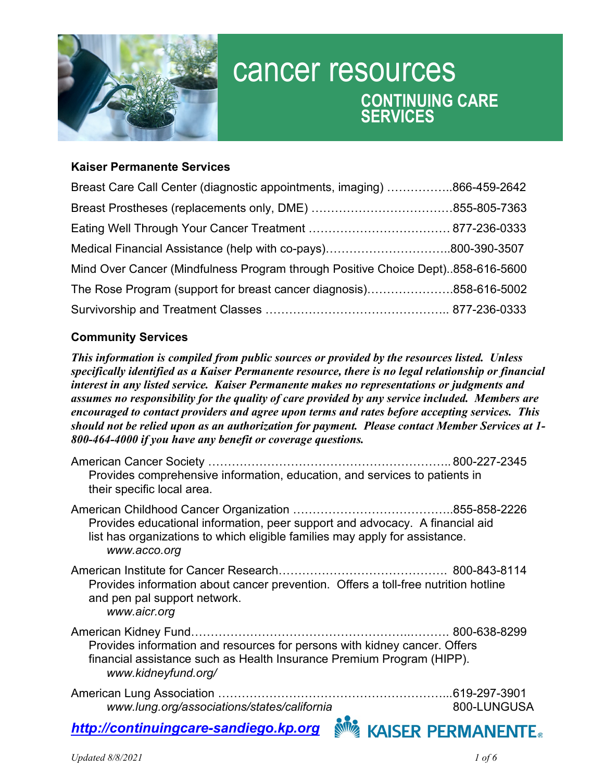

# cancer resources **CONTINUING CARE SERVICES**

## **Kaiser Permanente Services**

| Breast Care Call Center (diagnostic appointments, imaging) 866-459-2642         |  |
|---------------------------------------------------------------------------------|--|
|                                                                                 |  |
|                                                                                 |  |
|                                                                                 |  |
| Mind Over Cancer (Mindfulness Program through Positive Choice Dept)858-616-5600 |  |
| The Rose Program (support for breast cancer diagnosis)858-616-5002              |  |
|                                                                                 |  |

### **Community Services**

*This information is compiled from public sources or provided by the resources listed. Unless specifically identified as a Kaiser Permanente resource, there is no legal relationship or financial interest in any listed service. Kaiser Permanente makes no representations or judgments and assumes no responsibility for the quality of care provided by any service included. Members are encouraged to contact providers and agree upon terms and rates before accepting services. This should not be relied upon as an authorization for payment. Please contact Member Services at 1- 800-464-4000 if you have any benefit or coverage questions.* 

| Provides comprehensive information, education, and services to patients in<br>their specific local area.                                                                    |                          |
|-----------------------------------------------------------------------------------------------------------------------------------------------------------------------------|--------------------------|
| Provides educational information, peer support and advocacy. A financial aid<br>list has organizations to which eligible families may apply for assistance.<br>www.acco.org |                          |
| Provides information about cancer prevention. Offers a toll-free nutrition hotline<br>and pen pal support network.<br>www.aicr.org                                          |                          |
| Provides information and resources for persons with kidney cancer. Offers<br>financial assistance such as Health Insurance Premium Program (HIPP).<br>www.kidneyfund.org/   |                          |
| www.lung.org/associations/states/california                                                                                                                                 | 800-LUNGUSA              |
| http://continuingcare-sandiego.kp.org                                                                                                                                       | <b>KAISER PERMANENTE</b> |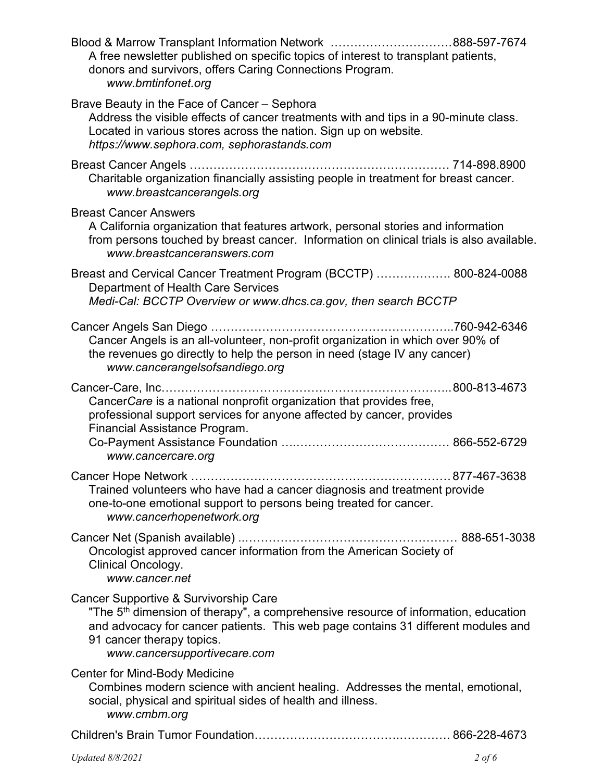| Blood & Marrow Transplant Information Network 888-597-7674<br>A free newsletter published on specific topics of interest to transplant patients,<br>donors and survivors, offers Caring Connections Program.<br>www.bmtinfonet.org                                                        |  |
|-------------------------------------------------------------------------------------------------------------------------------------------------------------------------------------------------------------------------------------------------------------------------------------------|--|
| Brave Beauty in the Face of Cancer - Sephora<br>Address the visible effects of cancer treatments with and tips in a 90-minute class.<br>Located in various stores across the nation. Sign up on website.<br>https://www.sephora.com, sephorastands.com                                    |  |
| Breast Cancer Angels<br>Charitable organization financially assisting people in treatment for breast cancer.<br>www.breastcancerangels.org                                                                                                                                                |  |
| <b>Breast Cancer Answers</b><br>A California organization that features artwork, personal stories and information<br>from persons touched by breast cancer. Information on clinical trials is also available.<br>www.breastcanceranswers.com                                              |  |
| Breast and Cervical Cancer Treatment Program (BCCTP)  800-824-0088<br><b>Department of Health Care Services</b><br>Medi-Cal: BCCTP Overview or www.dhcs.ca.gov, then search BCCTP                                                                                                         |  |
| Cancer Angels is an all-volunteer, non-profit organization in which over 90% of<br>the revenues go directly to help the person in need (stage IV any cancer)<br>www.cancerangelsofsandiego.org                                                                                            |  |
| CancerCare is a national nonprofit organization that provides free,<br>professional support services for anyone affected by cancer, provides<br>Financial Assistance Program.<br>www.cancercare.org                                                                                       |  |
| Trained volunteers who have had a cancer diagnosis and treatment provide<br>one-to-one emotional support to persons being treated for cancer.<br>www.cancerhopenetwork.org                                                                                                                |  |
| Oncologist approved cancer information from the American Society of<br>Clinical Oncology.<br>www.cancer.net                                                                                                                                                                               |  |
| Cancer Supportive & Survivorship Care<br>"The 5 <sup>th</sup> dimension of therapy", a comprehensive resource of information, education<br>and advocacy for cancer patients. This web page contains 31 different modules and<br>91 cancer therapy topics.<br>www.cancersupportivecare.com |  |
| <b>Center for Mind-Body Medicine</b><br>Combines modern science with ancient healing. Addresses the mental, emotional,<br>social, physical and spiritual sides of health and illness.<br>www.cmbm.org                                                                                     |  |
|                                                                                                                                                                                                                                                                                           |  |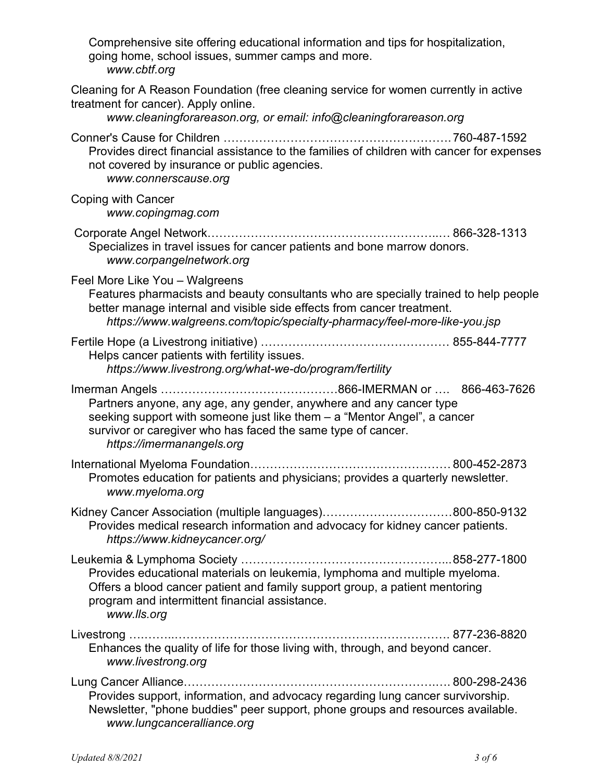| Comprehensive site offering educational information and tips for hospitalization,<br>going home, school issues, summer camps and more.<br>www.cbtf.org                                                                                                                        |
|-------------------------------------------------------------------------------------------------------------------------------------------------------------------------------------------------------------------------------------------------------------------------------|
| Cleaning for A Reason Foundation (free cleaning service for women currently in active<br>treatment for cancer). Apply online.<br>www.cleaningforareason.org, or email: info@cleaningforareason.org                                                                            |
| Provides direct financial assistance to the families of children with cancer for expenses<br>not covered by insurance or public agencies.<br>www.connerscause.org                                                                                                             |
| Coping with Cancer<br>www.copingmag.com                                                                                                                                                                                                                                       |
| Specializes in travel issues for cancer patients and bone marrow donors.<br>www.corpangelnetwork.org                                                                                                                                                                          |
| Feel More Like You - Walgreens<br>Features pharmacists and beauty consultants who are specially trained to help people<br>better manage internal and visible side effects from cancer treatment.<br>https://www.walgreens.com/topic/specialty-pharmacy/feel-more-like-you.jsp |
| Helps cancer patients with fertility issues.<br>https://www.livestrong.org/what-we-do/program/fertility                                                                                                                                                                       |
| Partners anyone, any age, any gender, anywhere and any cancer type<br>seeking support with someone just like them - a "Mentor Angel", a cancer<br>survivor or caregiver who has faced the same type of cancer.<br>https://imermanangels.org                                   |
| Promotes education for patients and physicians; provides a quarterly newsletter.<br>www.myeloma.org                                                                                                                                                                           |
| Kidney Cancer Association (multiple languages)800-850-9132<br>Provides medical research information and advocacy for kidney cancer patients.<br>https://www.kidneycancer.org/                                                                                                 |
| Provides educational materials on leukemia, lymphoma and multiple myeloma.<br>Offers a blood cancer patient and family support group, a patient mentoring<br>program and intermittent financial assistance.<br>www.lls.org                                                    |
| Enhances the quality of life for those living with, through, and beyond cancer.<br>www.livestrong.org                                                                                                                                                                         |
| Provides support, information, and advocacy regarding lung cancer survivorship.<br>Newsletter, "phone buddies" peer support, phone groups and resources available.<br>www.lungcanceralliance.org                                                                              |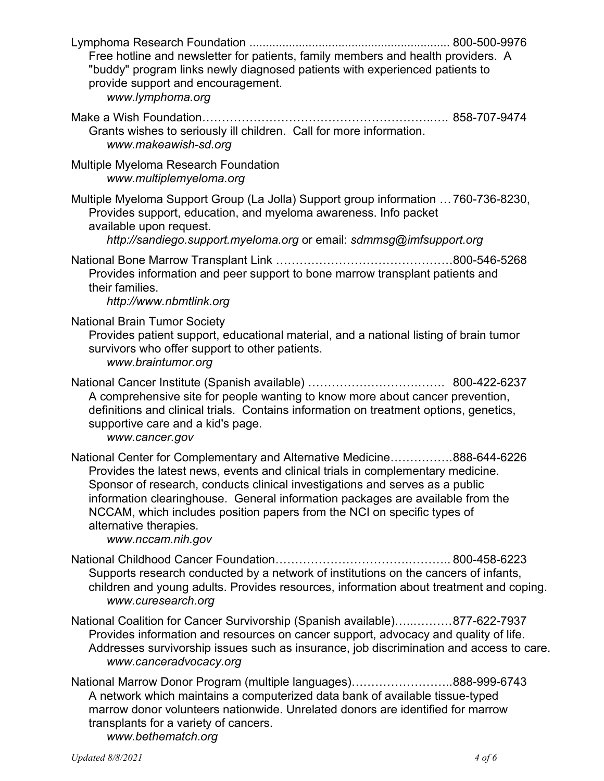| Free hotline and newsletter for patients, family members and health providers. A<br>"buddy" program links newly diagnosed patients with experienced patients to<br>provide support and encouragement.<br>www.lymphoma.org                                                                                                                                                                                                                             |
|-------------------------------------------------------------------------------------------------------------------------------------------------------------------------------------------------------------------------------------------------------------------------------------------------------------------------------------------------------------------------------------------------------------------------------------------------------|
| Grants wishes to seriously ill children. Call for more information.<br>www.makeawish-sd.org                                                                                                                                                                                                                                                                                                                                                           |
| Multiple Myeloma Research Foundation<br>www.multiplemyeloma.org                                                                                                                                                                                                                                                                                                                                                                                       |
| Multiple Myeloma Support Group (La Jolla) Support group information  760-736-8230,<br>Provides support, education, and myeloma awareness. Info packet<br>available upon request.<br>http://sandiego.support.myeloma.org or email: sdmmsg@imfsupport.org                                                                                                                                                                                               |
| Provides information and peer support to bone marrow transplant patients and<br>their families.<br>http://www.nbmtlink.org                                                                                                                                                                                                                                                                                                                            |
| <b>National Brain Tumor Society</b><br>Provides patient support, educational material, and a national listing of brain tumor<br>survivors who offer support to other patients.<br>www.braintumor.org                                                                                                                                                                                                                                                  |
|                                                                                                                                                                                                                                                                                                                                                                                                                                                       |
| A comprehensive site for people wanting to know more about cancer prevention,<br>definitions and clinical trials. Contains information on treatment options, genetics,<br>supportive care and a kid's page.<br>www.cancer.gov                                                                                                                                                                                                                         |
| National Center for Complementary and Alternative Medicine888-644-6226<br>Provides the latest news, events and clinical trials in complementary medicine.<br>Sponsor of research, conducts clinical investigations and serves as a public<br>information clearinghouse. General information packages are available from the<br>NCCAM, which includes position papers from the NCI on specific types of<br>alternative therapies.<br>www.nccam.nih.gov |
| Supports research conducted by a network of institutions on the cancers of infants,<br>children and young adults. Provides resources, information about treatment and coping.<br>www.curesearch.org                                                                                                                                                                                                                                                   |
| National Coalition for Cancer Survivorship (Spanish available)877-622-7937<br>Provides information and resources on cancer support, advocacy and quality of life.<br>Addresses survivorship issues such as insurance, job discrimination and access to care.<br>www.canceradvocacy.org                                                                                                                                                                |

marrow donor volunteers nationwide. Unrelated donors are identified for marrow transplants for a variety of cancers. *www.bethematch.org*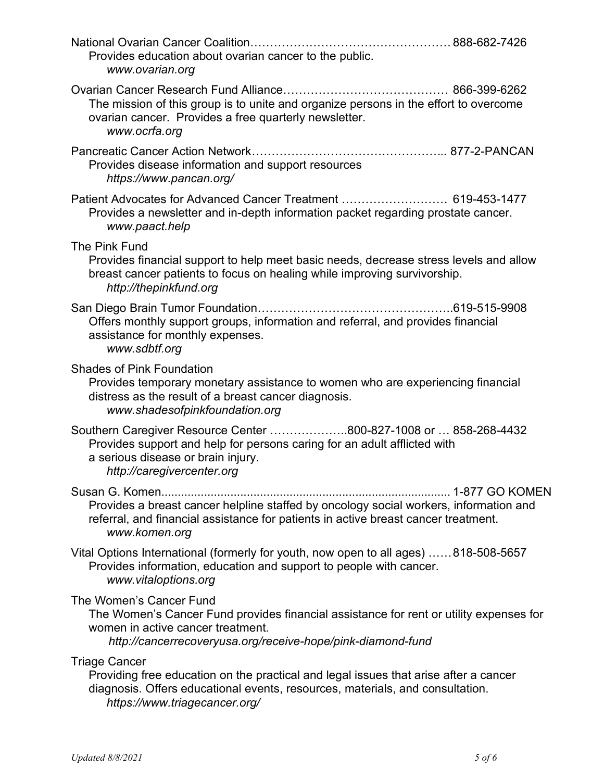| Provides education about ovarian cancer to the public.<br>www.ovarian.org                                                                                                                                                      |
|--------------------------------------------------------------------------------------------------------------------------------------------------------------------------------------------------------------------------------|
| The mission of this group is to unite and organize persons in the effort to overcome<br>ovarian cancer. Provides a free quarterly newsletter.<br>www.ocrfa.org                                                                 |
| Provides disease information and support resources<br>https://www.pancan.org/                                                                                                                                                  |
| Patient Advocates for Advanced Cancer Treatment  619-453-1477<br>Provides a newsletter and in-depth information packet regarding prostate cancer.<br>www.paact.help                                                            |
| The Pink Fund<br>Provides financial support to help meet basic needs, decrease stress levels and allow<br>breast cancer patients to focus on healing while improving survivorship.<br>http://thepinkfund.org                   |
| Offers monthly support groups, information and referral, and provides financial<br>assistance for monthly expenses.<br>www.sdbtf.org                                                                                           |
| <b>Shades of Pink Foundation</b><br>Provides temporary monetary assistance to women who are experiencing financial<br>distress as the result of a breast cancer diagnosis.<br>www.shadesofpinkfoundation.org                   |
| Southern Caregiver Resource Center 800-827-1008 or  858-268-4432<br>Provides support and help for persons caring for an adult afflicted with<br>a serious disease or brain injury.<br>http://caregivercenter.org               |
| Provides a breast cancer helpline staffed by oncology social workers, information and<br>referral, and financial assistance for patients in active breast cancer treatment.<br>www.komen.org                                   |
| Vital Options International (formerly for youth, now open to all ages) 818-508-5657<br>Provides information, education and support to people with cancer.<br>www.vitaloptions.org                                              |
| The Women's Cancer Fund<br>The Women's Cancer Fund provides financial assistance for rent or utility expenses for<br>women in active cancer treatment.<br>http://cancerrecoveryusa.org/receive-hope/pink-diamond-fund          |
| <b>Triage Cancer</b><br>Providing free education on the practical and legal issues that arise after a cancer<br>diagnosis. Offers educational events, resources, materials, and consultation.<br>https://www.triagecancer.org/ |
|                                                                                                                                                                                                                                |